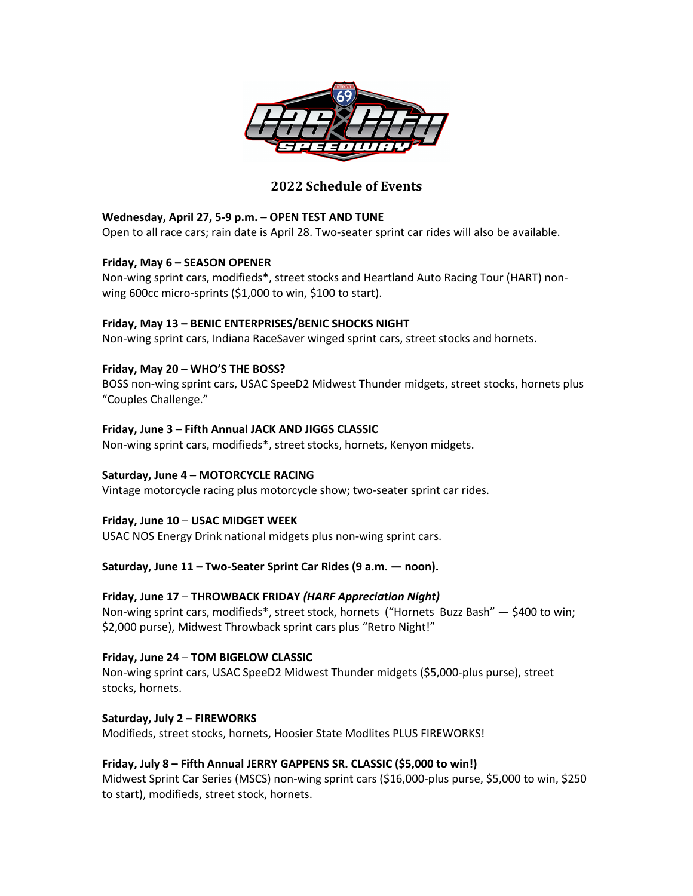

# **2022 Schedule of Events**

# **Wednesday, April 27, 5-9 p.m. – OPEN TEST AND TUNE**

Open to all race cars; rain date is April 28. Two-seater sprint car rides will also be available.

### **Friday, May 6 – SEASON OPENER**

Non-wing sprint cars, modifieds\*, street stocks and Heartland Auto Racing Tour (HART) nonwing 600cc micro-sprints (\$1,000 to win, \$100 to start).

### **Friday, May 13 – BENIC ENTERPRISES/BENIC SHOCKS NIGHT**

Non-wing sprint cars, Indiana RaceSaver winged sprint cars, street stocks and hornets.

### **Friday, May 20 – WHO'S THE BOSS?**

BOSS non-wing sprint cars, USAC SpeeD2 Midwest Thunder midgets, street stocks, hornets plus "Couples Challenge."

### **Friday, June 3 – Fifth Annual JACK AND JIGGS CLASSIC**

Non-wing sprint cars, modifieds\*, street stocks, hornets, Kenyon midgets.

# **Saturday, June 4 – MOTORCYCLE RACING**

Vintage motorcycle racing plus motorcycle show; two-seater sprint car rides.

# **Friday, June 10** – **USAC MIDGET WEEK**

USAC NOS Energy Drink national midgets plus non-wing sprint cars.

# **Saturday, June 11 – Two-Seater Sprint Car Rides (9 a.m. — noon).**

# **Friday, June 17** – **THROWBACK FRIDAY** *(HARF Appreciation Night)*

Non-wing sprint cars, modifieds\*, street stock, hornets ("Hornets Buzz Bash" — \$400 to win; \$2,000 purse), Midwest Throwback sprint cars plus "Retro Night!"

#### **Friday, June 24** – **TOM BIGELOW CLASSIC**

Non-wing sprint cars, USAC SpeeD2 Midwest Thunder midgets (\$5,000-plus purse), street stocks, hornets.

#### **Saturday, July 2 – FIREWORKS**

Modifieds, street stocks, hornets, Hoosier State Modlites PLUS FIREWORKS!

# **Friday, July 8 – Fifth Annual JERRY GAPPENS SR. CLASSIC (\$5,000 to win!)**

Midwest Sprint Car Series (MSCS) non-wing sprint cars (\$16,000-plus purse, \$5,000 to win, \$250 to start), modifieds, street stock, hornets.